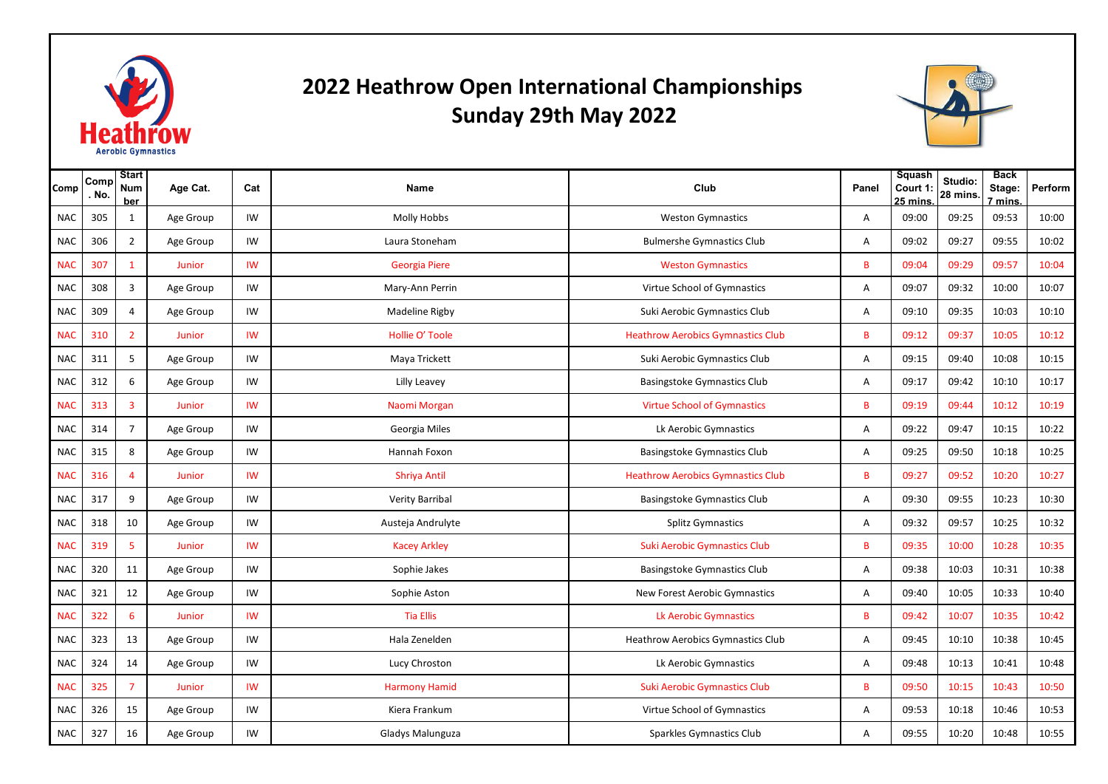

## **2022 Heathrow Open International Championships Sunday 29th May 2022**



| Comp       | Comr<br>. No. | <b>Start</b><br>Num<br>ber | Age Cat.  | Cat       | <b>Name</b>          | Club                                     | Panel | Squash<br>Court 1<br>$25 \text{ mins}$ | Studio:<br>28 mins. | <b>Back</b><br>Stage:<br>7 mins. | Perform |
|------------|---------------|----------------------------|-----------|-----------|----------------------|------------------------------------------|-------|----------------------------------------|---------------------|----------------------------------|---------|
| <b>NAC</b> | 305           | $\mathbf{1}$               | Age Group | IW        | Molly Hobbs          | <b>Weston Gymnastics</b>                 | A     | 09:00                                  | 09:25               | 09:53                            | 10:00   |
| <b>NAC</b> | 306           | $\overline{2}$             | Age Group | IW        | Laura Stoneham       | <b>Bulmershe Gymnastics Club</b>         | A     | 09:02                                  | 09:27               | 09:55                            | 10:02   |
| <b>NAC</b> | 307           | $\mathbf{1}$               | Junior    | IW        | Georgia Piere        | <b>Weston Gymnastics</b>                 | B     | 09:04                                  | 09:29               | 09:57                            | 10:04   |
| <b>NAC</b> | 308           | 3                          | Age Group | IW        | Mary-Ann Perrin      | Virtue School of Gymnastics              | Α     | 09:07                                  | 09:32               | 10:00                            | 10:07   |
| <b>NAC</b> | 309           | 4                          | Age Group | IW        | Madeline Rigby       | Suki Aerobic Gymnastics Club             | A     | 09:10                                  | 09:35               | 10:03                            | 10:10   |
| <b>NAC</b> | 310           | $\overline{2}$             | Junior    | <b>IW</b> | Hollie O' Toole      | <b>Heathrow Aerobics Gymnastics Club</b> | B     | 09:12                                  | 09:37               | 10:05                            | 10:12   |
| <b>NAC</b> | 311           | 5                          | Age Group | IW        | Maya Trickett        | Suki Aerobic Gymnastics Club             | A     | 09:15                                  | 09:40               | 10:08                            | 10:15   |
| <b>NAC</b> | 312           | 6                          | Age Group | IW        | Lilly Leavey         | Basingstoke Gymnastics Club              | A     | 09:17                                  | 09:42               | 10:10                            | 10:17   |
| <b>NAC</b> | 313           | 3                          | Junior    | IW        | Naomi Morgan         | <b>Virtue School of Gymnastics</b>       | B     | 09:19                                  | 09:44               | 10:12                            | 10:19   |
| <b>NAC</b> | 314           | 7                          | Age Group | IW        | Georgia Miles        | Lk Aerobic Gymnastics                    | Α     | 09:22                                  | 09:47               | 10:15                            | 10:22   |
| <b>NAC</b> | 315           | 8                          | Age Group | IW        | Hannah Foxon         | Basingstoke Gymnastics Club              | A     | 09:25                                  | 09:50               | 10:18                            | 10:25   |
| <b>NAC</b> | 316           | Δ                          | Junior    | IW        | <b>Shriya Antil</b>  | <b>Heathrow Aerobics Gymnastics Club</b> | B     | 09:27                                  | 09:52               | 10:20                            | 10:27   |
| <b>NAC</b> | 317           | 9                          | Age Group | IW        | Verity Barribal      | Basingstoke Gymnastics Club              | A     | 09:30                                  | 09:55               | 10:23                            | 10:30   |
| <b>NAC</b> | 318           | 10                         | Age Group | IW        | Austeja Andrulyte    | <b>Splitz Gymnastics</b>                 | Α     | 09:32                                  | 09:57               | 10:25                            | 10:32   |
| <b>NAC</b> | 319           | 5                          | Junior    | IW        | <b>Kacey Arkley</b>  | <b>Suki Aerobic Gymnastics Club</b>      | B     | 09:35                                  | 10:00               | 10:28                            | 10:35   |
| <b>NAC</b> | 320           | 11                         | Age Group | IW        | Sophie Jakes         | <b>Basingstoke Gymnastics Club</b>       | A     | 09:38                                  | 10:03               | 10:31                            | 10:38   |
| <b>NAC</b> | 321           | 12                         | Age Group | IW        | Sophie Aston         | New Forest Aerobic Gymnastics            | A     | 09:40                                  | 10:05               | 10:33                            | 10:40   |
| <b>NAC</b> | 322           | 6                          | Junior    | <b>IW</b> | <b>Tia Ellis</b>     | Lk Aerobic Gymnastics                    | B     | 09:42                                  | 10:07               | 10:35                            | 10:42   |
| <b>NAC</b> | 323           | 13                         | Age Group | IW        | Hala Zenelden        | Heathrow Aerobics Gymnastics Club        | Α     | 09:45                                  | 10:10               | 10:38                            | 10:45   |
| <b>NAC</b> | 324           | 14                         | Age Group | IW        | Lucy Chroston        | Lk Aerobic Gymnastics                    | A     | 09:48                                  | 10:13               | 10:41                            | 10:48   |
| <b>NAC</b> | 325           | $\overline{7}$             | Junior    | IW        | <b>Harmony Hamid</b> | <b>Suki Aerobic Gymnastics Club</b>      | B     | 09:50                                  | 10:15               | 10:43                            | 10:50   |
| <b>NAC</b> | 326           | 15                         | Age Group | IW        | Kiera Frankum        | Virtue School of Gymnastics              | Α     | 09:53                                  | 10:18               | 10:46                            | 10:53   |
| <b>NAC</b> | 327           | 16                         | Age Group | IW        | Gladys Malunguza     | Sparkles Gymnastics Club                 | Α     | 09:55                                  | 10:20               | 10:48                            | 10:55   |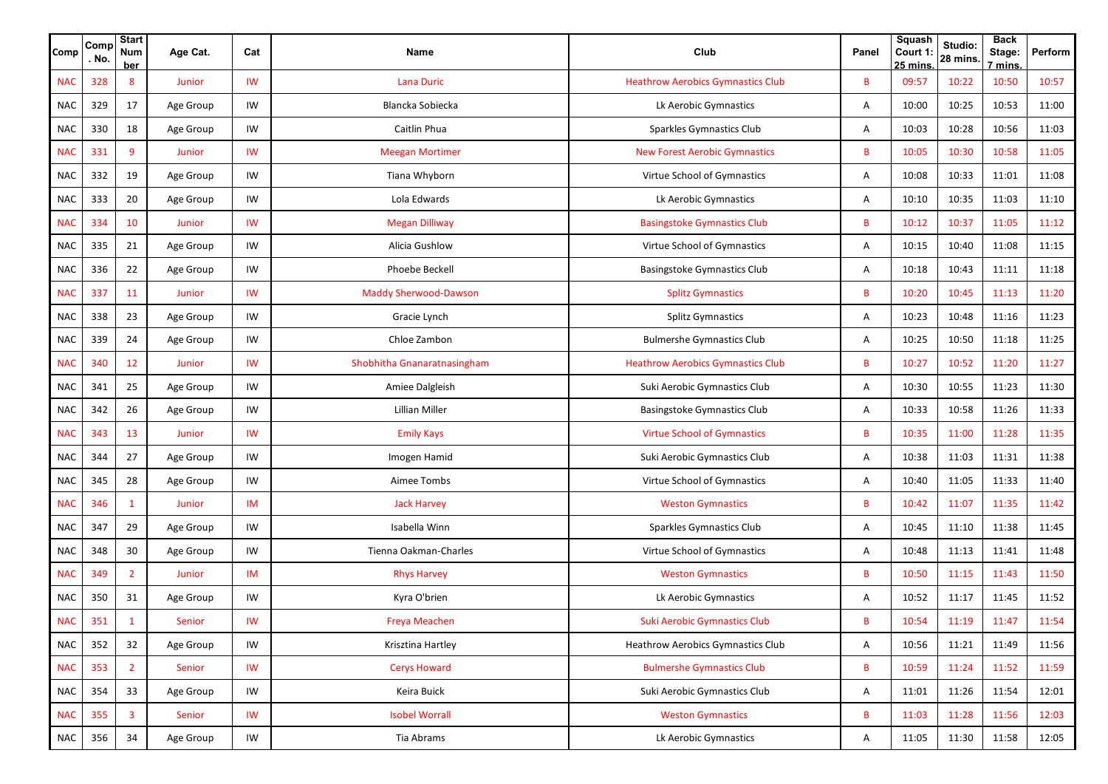| Comp       | Comp<br>. No. | <b>Start</b><br><b>Num</b><br><b>ber</b> | Age Cat.  | Cat       | Name                         | Club                                     | Panel | <b>Squash</b><br>Court 1:<br>$25 \text{ mins}$ | Studio:<br>28 mins. | <b>Back</b><br>Stage:<br>7 mins | Perform |
|------------|---------------|------------------------------------------|-----------|-----------|------------------------------|------------------------------------------|-------|------------------------------------------------|---------------------|---------------------------------|---------|
| <b>NAC</b> | 328           | 8                                        | Junior    | IW        | <b>Lana Duric</b>            | <b>Heathrow Aerobics Gymnastics Club</b> | B     | 09:57                                          | 10:22               | 10:50                           | 10:57   |
| <b>NAC</b> | 329           | 17                                       | Age Group | IW        | Blancka Sobiecka             | Lk Aerobic Gymnastics                    | Α     | 10:00                                          | 10:25               | 10:53                           | 11:00   |
| <b>NAC</b> | 330           | 18                                       | Age Group | IW        | Caitlin Phua                 | Sparkles Gymnastics Club                 | Α     | 10:03                                          | 10:28               | 10:56                           | 11:03   |
| <b>NAC</b> | 331           | 9                                        | Junior    | IW        | <b>Meegan Mortimer</b>       | <b>New Forest Aerobic Gymnastics</b>     | B     | 10:05                                          | 10:30               | 10:58                           | 11:05   |
| <b>NAC</b> | 332           | 19                                       | Age Group | IW        | Tiana Whyborn                | Virtue School of Gymnastics              | Α     | 10:08                                          | 10:33               | 11:01                           | 11:08   |
| <b>NAC</b> | 333           | 20                                       | Age Group | IW        | Lola Edwards                 | Lk Aerobic Gymnastics                    | Α     | 10:10                                          | 10:35               | 11:03                           | 11:10   |
| <b>NAC</b> | 334           | 10                                       | Junior    | IW        | <b>Megan Dilliway</b>        | <b>Basingstoke Gymnastics Club</b>       | B     | 10:12                                          | 10:37               | 11:05                           | 11:12   |
| <b>NAC</b> | 335           | 21                                       | Age Group | IW        | Alicia Gushlow               | Virtue School of Gymnastics              | Α     | 10:15                                          | 10:40               | 11:08                           | 11:15   |
| <b>NAC</b> | 336           | 22                                       | Age Group | IW        | Phoebe Beckell               | <b>Basingstoke Gymnastics Club</b>       | Α     | 10:18                                          | 10:43               | 11:11                           | 11:18   |
| <b>NAC</b> | 337           | 11                                       | Junior    | IW        | <b>Maddy Sherwood-Dawson</b> | <b>Splitz Gymnastics</b>                 | B     | 10:20                                          | 10:45               | 11:13                           | 11:20   |
| <b>NAC</b> | 338           | 23                                       | Age Group | IW        | Gracie Lynch                 | <b>Splitz Gymnastics</b>                 | Α     | 10:23                                          | 10:48               | 11:16                           | 11:23   |
| NAC        | 339           | 24                                       | Age Group | IW        | Chloe Zambon                 | <b>Bulmershe Gymnastics Club</b>         | Α     | 10:25                                          | 10:50               | 11:18                           | 11:25   |
| <b>NAC</b> | 340           | 12                                       | Junior    | IW        | Shobhitha Gnanaratnasingham  | <b>Heathrow Aerobics Gymnastics Club</b> | B     | 10:27                                          | 10:52               | 11:20                           | 11:27   |
| <b>NAC</b> | 341           | 25                                       | Age Group | IW        | Amiee Dalgleish              | Suki Aerobic Gymnastics Club             | Α     | 10:30                                          | 10:55               | 11:23                           | 11:30   |
| <b>NAC</b> | 342           | 26                                       | Age Group | IW        | Lillian Miller               | Basingstoke Gymnastics Club              | Α     | 10:33                                          | 10:58               | 11:26                           | 11:33   |
| <b>NAC</b> | 343           | 13                                       | Junior    | IW        | <b>Emily Kays</b>            | <b>Virtue School of Gymnastics</b>       | B     | 10:35                                          | 11:00               | 11:28                           | 11:35   |
| <b>NAC</b> | 344           | 27                                       | Age Group | IW        | Imogen Hamid                 | Suki Aerobic Gymnastics Club             | Α     | 10:38                                          | 11:03               | 11:31                           | 11:38   |
| <b>NAC</b> | 345           | 28                                       | Age Group | IW        | Aimee Tombs                  | Virtue School of Gymnastics              | Α     | 10:40                                          | 11:05               | 11:33                           | 11:40   |
| <b>NAC</b> | 346           | $\mathbf{1}$                             | Junior    | IM        | <b>Jack Harvey</b>           | <b>Weston Gymnastics</b>                 | B     | 10:42                                          | 11:07               | 11:35                           | 11:42   |
| <b>NAC</b> | 347           | 29                                       | Age Group | IW        | Isabella Winn                | Sparkles Gymnastics Club                 | Α     | 10:45                                          | 11:10               | 11:38                           | 11:45   |
| <b>NAC</b> | 348           | 30                                       | Age Group | IW        | Tienna Oakman-Charles        | Virtue School of Gymnastics              | Α     | 10:48                                          | 11:13               | 11:41                           | 11:48   |
| <b>NAC</b> | 349           | $\overline{2}$                           | Junior    | IM        | <b>Rhys Harvey</b>           | <b>Weston Gymnastics</b>                 | B     | 10:50                                          | 11:15               | 11:43                           | 11:50   |
| <b>NAC</b> | 350           | 31                                       | Age Group | IW        | Kyra O'brien                 | Lk Aerobic Gymnastics                    | Α     | 10:52                                          | 11:17               | 11:45                           | 11:52   |
| <b>NAC</b> | 351           |                                          | Senior    | IW        | Freya Meachen                | Suki Aerobic Gymnastics Club             | B     | 10:54                                          | 11:19               | 11:47                           | 11:54   |
| <b>NAC</b> | 352           | 32                                       | Age Group | IW        | Krisztina Hartley            | <b>Heathrow Aerobics Gymnastics Club</b> | Α     | 10:56                                          | 11:21               | 11:49                           | 11:56   |
| <b>NAC</b> | 353           | $\overline{2}$                           | Senior    | <b>IW</b> | <b>Cerys Howard</b>          | <b>Bulmershe Gymnastics Club</b>         | B     | 10:59                                          | 11:24               | 11:52                           | 11:59   |
| <b>NAC</b> | 354           | 33                                       | Age Group | IW        | Keira Buick                  | Suki Aerobic Gymnastics Club             | Α     | 11:01                                          | 11:26               | 11:54                           | 12:01   |
| <b>NAC</b> | 355           | $\overline{\mathbf{3}}$                  | Senior    | IW        | <b>Isobel Worrall</b>        | <b>Weston Gymnastics</b>                 | B     | 11:03                                          | 11:28               | 11:56                           | 12:03   |
| <b>NAC</b> | 356           | 34                                       | Age Group | IW        | Tia Abrams                   | Lk Aerobic Gymnastics                    | Α     | 11:05                                          | 11:30               | 11:58                           | 12:05   |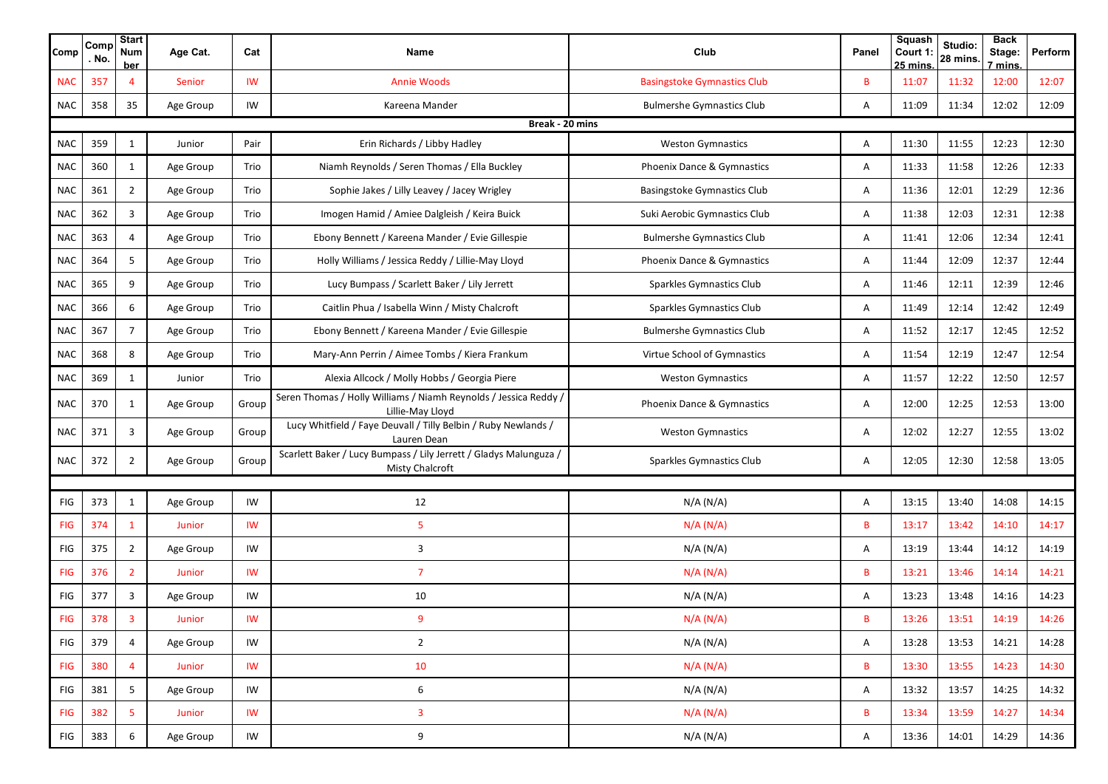| Comp        | Comp<br>No.     | <b>Start</b><br><b>Num</b><br><u>ber</u> | Age Cat.  | Cat   | Name                                                                                        | Club                               | Panel | Squash<br>Court 1:<br><u>25 mins.</u> | Studio:<br>28 mins. | <b>Back</b><br>Stage:<br>7 mins. | Perform |  |
|-------------|-----------------|------------------------------------------|-----------|-------|---------------------------------------------------------------------------------------------|------------------------------------|-------|---------------------------------------|---------------------|----------------------------------|---------|--|
| <b>NAC</b>  | 357             | $\overline{4}$                           | Senior    | IW    | <b>Annie Woods</b>                                                                          | <b>Basingstoke Gymnastics Club</b> | B     | 11:07                                 | 11:32               | 12:00                            | 12:07   |  |
| <b>NAC</b>  | 358             | 35                                       | Age Group | IW    | Kareena Mander                                                                              | <b>Bulmershe Gymnastics Club</b>   | Α     | 11:09                                 | 11:34               | 12:02                            | 12:09   |  |
|             | Break - 20 mins |                                          |           |       |                                                                                             |                                    |       |                                       |                     |                                  |         |  |
| <b>NAC</b>  | 359             | $\mathbf{1}$                             | Junior    | Pair  | Erin Richards / Libby Hadley                                                                | <b>Weston Gymnastics</b>           | Α     | 11:30                                 | 11:55               | 12:23                            | 12:30   |  |
| <b>NAC</b>  | 360             | $\mathbf{1}$                             | Age Group | Trio  | Niamh Reynolds / Seren Thomas / Ella Buckley                                                | Phoenix Dance & Gymnastics         | Α     | 11:33                                 | 11:58               | 12:26                            | 12:33   |  |
| <b>NAC</b>  | 361             | 2                                        | Age Group | Trio  | Sophie Jakes / Lilly Leavey / Jacey Wrigley                                                 | <b>Basingstoke Gymnastics Club</b> | Α     | 11:36                                 | 12:01               | 12:29                            | 12:36   |  |
| <b>NAC</b>  | 362             | 3                                        | Age Group | Trio  | Imogen Hamid / Amiee Dalgleish / Keira Buick                                                | Suki Aerobic Gymnastics Club       | Α     | 11:38                                 | 12:03               | 12:31                            | 12:38   |  |
| <b>NAC</b>  | 363             | 4                                        | Age Group | Trio  | Ebony Bennett / Kareena Mander / Evie Gillespie                                             | <b>Bulmershe Gymnastics Club</b>   | Α     | 11:41                                 | 12:06               | 12:34                            | 12:41   |  |
| <b>NAC</b>  | 364             | 5                                        | Age Group | Trio  | Holly Williams / Jessica Reddy / Lillie-May Lloyd                                           | Phoenix Dance & Gymnastics         | Α     | 11:44                                 | 12:09               | 12:37                            | 12:44   |  |
| <b>NAC</b>  | 365             | 9                                        | Age Group | Trio  | Lucy Bumpass / Scarlett Baker / Lily Jerrett                                                | Sparkles Gymnastics Club           | Α     | 11:46                                 | 12:11               | 12:39                            | 12:46   |  |
| <b>NAC</b>  | 366             | 6                                        | Age Group | Trio  | Caitlin Phua / Isabella Winn / Misty Chalcroft                                              | Sparkles Gymnastics Club           | Α     | 11:49                                 | 12:14               | 12:42                            | 12:49   |  |
| <b>NAC</b>  | 367             | $\overline{7}$                           | Age Group | Trio  | Ebony Bennett / Kareena Mander / Evie Gillespie                                             | <b>Bulmershe Gymnastics Club</b>   | Α     | 11:52                                 | 12:17               | 12:45                            | 12:52   |  |
| <b>NAC</b>  | 368             | 8                                        | Age Group | Trio  | Mary-Ann Perrin / Aimee Tombs / Kiera Frankum                                               | Virtue School of Gymnastics        | Α     | 11:54                                 | 12:19               | 12:47                            | 12:54   |  |
| <b>NAC</b>  | 369             | $\mathbf{1}$                             | Junior    | Trio  | Alexia Allcock / Molly Hobbs / Georgia Piere                                                | <b>Weston Gymnastics</b>           | Α     | 11:57                                 | 12:22               | 12:50                            | 12:57   |  |
| <b>NAC</b>  | 370             | 1                                        | Age Group | Group | Seren Thomas / Holly Williams / Niamh Reynolds / Jessica Reddy /<br>Lillie-May Lloyd        | Phoenix Dance & Gymnastics         | Α     | 12:00                                 | 12:25               | 12:53                            | 13:00   |  |
| <b>NAC</b>  | 371             | 3                                        | Age Group | Group | Lucy Whitfield / Faye Deuvall / Tilly Belbin / Ruby Newlands /<br>Lauren Dean               | <b>Weston Gymnastics</b>           | Α     | 12:02                                 | 12:27               | 12:55                            | 13:02   |  |
| <b>NAC</b>  | 372             | 2                                        | Age Group | Group | Scarlett Baker / Lucy Bumpass / Lily Jerrett / Gladys Malunguza /<br><b>Misty Chalcroft</b> | Sparkles Gymnastics Club           | Α     | 12:05                                 | 12:30               | 12:58                            | 13:05   |  |
|             |                 |                                          |           |       |                                                                                             |                                    |       |                                       |                     |                                  |         |  |
| FIG         | 373             | $\mathbf{1}$                             | Age Group | IW    | 12                                                                                          | N/A (N/A)                          | Α     | 13:15                                 | 13:40               | 14:08                            | 14:15   |  |
| <b>FIG</b>  | 374             | $\mathbf{1}$                             | Junior    | IW    | 5                                                                                           | N/A (N/A)                          | B     | 13:17                                 | 13:42               | 14:10                            | 14:17   |  |
| ${\sf FIG}$ | 375             | $\overline{2}$                           | Age Group | IW    | 3                                                                                           | N/A (N/A)                          | Α     | 13:19                                 | 13:44               | 14:12                            | 14:19   |  |
| <b>FIG</b>  | 376             | $\overline{2}$                           | Junior    | IW    | $\overline{7}$                                                                              | N/A (N/A)                          | B     | 13:21                                 | 13:46               | 14:14                            | 14:21   |  |
| FIG         | 377             | 3                                        | Age Group | IW    | 10                                                                                          | N/A (N/A)                          | Α     | 13:23                                 | 13:48               | 14:16                            | 14:23   |  |
| <b>FIG</b>  | 378             | $\overline{\mathbf{3}}$                  | Junior    | IW    | 9                                                                                           | N/A (N/A)                          | B     | 13:26                                 | 13:51               | 14:19                            | 14:26   |  |
| FIG         | 379             | $\overline{4}$                           | Age Group | IW    | $\overline{2}$                                                                              | N/A (N/A)                          | Α     | 13:28                                 | 13:53               | 14:21                            | 14:28   |  |
| <b>FIG</b>  | 380             | $\overline{4}$                           | Junior    | IW    | 10                                                                                          | N/A (N/A)                          | B     | 13:30                                 | 13:55               | 14:23                            | 14:30   |  |
| FIG         | 381             | 5                                        | Age Group | IW    | $\boldsymbol{6}$                                                                            | N/A (N/A)                          | Α     | 13:32                                 | 13:57               | 14:25                            | 14:32   |  |
| <b>FIG</b>  | 382             | 5                                        | Junior    | IW    | $\overline{\mathbf{3}}$                                                                     | N/A (N/A)                          | B     | 13:34                                 | 13:59               | 14:27                            | 14:34   |  |
| FIG         | 383             | 6                                        | Age Group | IW    | 9                                                                                           | N/A (N/A)                          | Α     | 13:36                                 | 14:01               | 14:29                            | 14:36   |  |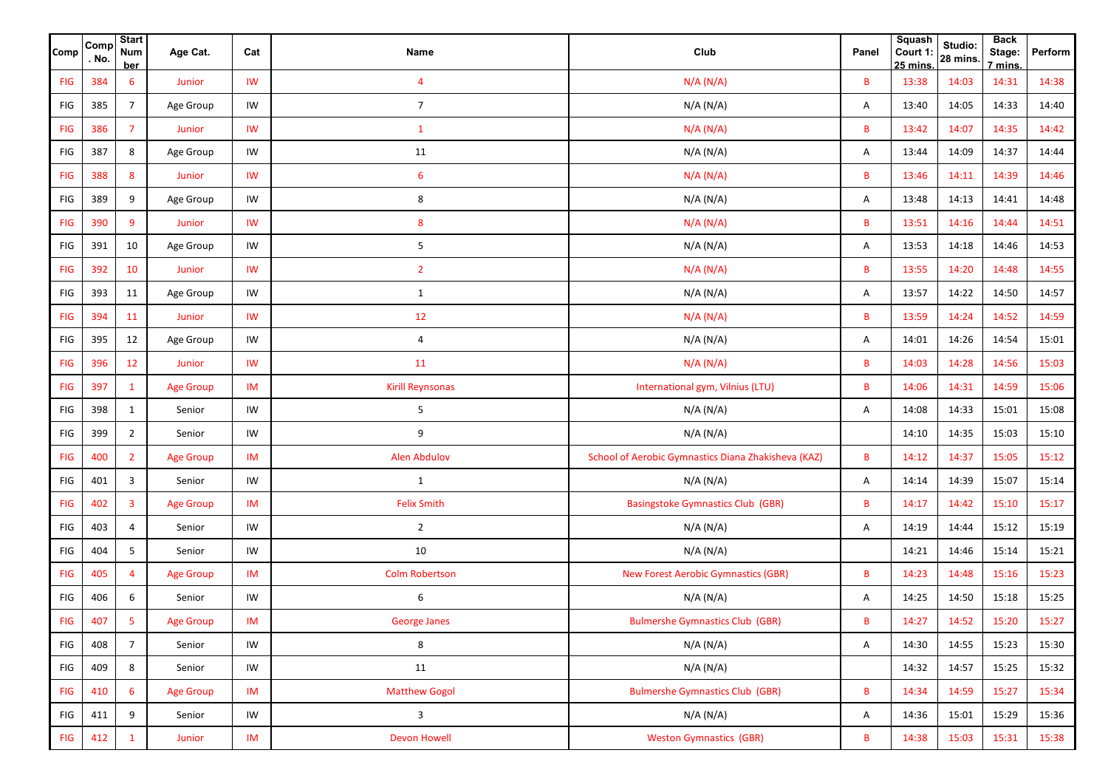| <b>Comp</b> | Comp<br>. No. | <b>Start</b><br><b>Num</b><br>ber | Age Cat.         | Cat                    | Name                    | Club                                                | Panel        | <b>Squash</b><br>Court 1:<br>$25 \text{ mins}$ | Studio:<br>28 mins. | <b>Back</b><br>Stage:<br>7 mins. | Perform |
|-------------|---------------|-----------------------------------|------------------|------------------------|-------------------------|-----------------------------------------------------|--------------|------------------------------------------------|---------------------|----------------------------------|---------|
| <b>FIG</b>  | 384           | 6                                 | Junior           | <b>IW</b>              | $\overline{4}$          | N/A (N/A)                                           | B            | 13:38                                          | 14:03               | 14:31                            | 14:38   |
| FIG         | 385           | $7\overline{ }$                   | Age Group        | IW                     | $\overline{7}$          | N/A (N/A)                                           | Α            | 13:40                                          | 14:05               | 14:33                            | 14:40   |
| <b>FIG</b>  | 386           | $\overline{7}$                    | Junior           | <b>IW</b>              | $\mathbf{1}$            | N/A (N/A)                                           | B            | 13:42                                          | 14:07               | 14:35                            | 14:42   |
| FIG         | 387           | 8                                 | Age Group        | IW                     | 11                      | N/A (N/A)                                           | Α            | 13:44                                          | 14:09               | 14:37                            | 14:44   |
| <b>FIG</b>  | 388           | 8                                 | Junior           | $\mathsf{I}\mathsf{W}$ | 6                       | N/A (N/A)                                           | B            | 13:46                                          | 14:11               | 14:39                            | 14:46   |
| FIG         | 389           | 9                                 | Age Group        | IW                     | 8                       | N/A (N/A)                                           | Α            | 13:48                                          | 14:13               | 14:41                            | 14:48   |
| <b>FIG</b>  | 390           | 9                                 | Junior           | $\mathsf{I}\mathsf{W}$ | 8                       | N/A (N/A)                                           | B            | 13:51                                          | 14:16               | 14:44                            | 14:51   |
| FIG         | 391           | 10                                | Age Group        | IW                     | 5                       | N/A (N/A)                                           | Α            | 13:53                                          | 14:18               | 14:46                            | 14:53   |
| <b>FIG</b>  | 392           | 10                                | Junior           | <b>IW</b>              | $\overline{2}$          | N/A (N/A)                                           | B            | 13:55                                          | 14:20               | 14:48                            | 14:55   |
| FIG         | 393           | 11                                | Age Group        | IW                     | $\mathbf{1}$            | N/A (N/A)                                           | Α            | 13:57                                          | 14:22               | 14:50                            | 14:57   |
| <b>FIG</b>  | 394           | 11                                | Junior           | IW                     | 12                      | N/A (N/A)                                           | B            | 13:59                                          | 14:24               | 14:52                            | 14:59   |
| FIG         | 395           | 12                                | Age Group        | IW                     | 4                       | N/A (N/A)                                           | Α            | 14:01                                          | 14:26               | 14:54                            | 15:01   |
| <b>FIG</b>  | 396           | 12                                | Junior           | $\mathsf{I}\mathsf{W}$ | 11                      | N/A (N/A)                                           | B            | 14:03                                          | 14:28               | 14:56                            | 15:03   |
| <b>FIG</b>  | 397           | $\mathbf{1}$                      | <b>Age Group</b> | IM                     | <b>Kirill Reynsonas</b> | International gym, Vilnius (LTU)                    | B            | 14:06                                          | 14:31               | 14:59                            | 15:06   |
| FIG         | 398           | $\mathbf{1}$                      | Senior           | IW                     | 5                       | N/A (N/A)                                           | Α            | 14:08                                          | 14:33               | 15:01                            | 15:08   |
| FIG         | 399           | $\overline{2}$                    | Senior           | IW                     | 9                       | N/A (N/A)                                           |              | 14:10                                          | 14:35               | 15:03                            | 15:10   |
| <b>FIG</b>  | 400           | $\overline{2}$                    | <b>Age Group</b> | <b>IM</b>              | <b>Alen Abdulov</b>     | School of Aerobic Gymnastics Diana Zhakisheva (KAZ) | B            | 14:12                                          | 14:37               | 15:05                            | 15:12   |
| FIG         | 401           | 3                                 | Senior           | IW                     | $\mathbf{1}$            | N/A (N/A)                                           | Α            | 14:14                                          | 14:39               | 15:07                            | 15:14   |
| <b>FIG</b>  | 402           | $\overline{3}$                    | <b>Age Group</b> | <b>IM</b>              | <b>Felix Smith</b>      | <b>Basingstoke Gymnastics Club (GBR)</b>            | B            | 14:17                                          | 14:42               | 15:10                            | 15:17   |
| FIG         | 403           | 4                                 | Senior           | IW                     | $\overline{2}$          | N/A (N/A)                                           | Α            | 14:19                                          | 14:44               | 15:12                            | 15:19   |
| FIG         | 404           | 5                                 | Senior           | IW                     | 10                      | N/A (N/A)                                           |              | 14:21                                          | 14:46               | 15:14                            | 15:21   |
| <b>FIG</b>  | 405           | 4                                 | <b>Age Group</b> | IM                     | <b>Colm Robertson</b>   | <b>New Forest Aerobic Gymnastics (GBR)</b>          | B            | 14:23                                          | 14:48               | 15:16                            | 15:23   |
| FIG         | 406           | 6                                 | Senior           | IW                     | 6                       | N/A (N/A)                                           | Α            | 14:25                                          | 14:50               | 15:18                            | 15:25   |
| <b>FIG</b>  | 407           | 5                                 | Age Group        | IM                     | <b>George Janes</b>     | <b>Bulmershe Gymnastics Club (GBR)</b>              | B.           | 14:27                                          | 14:52               | 15:20                            | 15:27   |
| FIG         | 408           | $\overline{7}$                    | Senior           | IW                     | 8                       | N/A (N/A)                                           | $\mathsf{A}$ | 14:30                                          | 14:55               | 15:23                            | 15:30   |
| FIG         | 409           | 8                                 | Senior           | IW                     | 11                      | N/A (N/A)                                           |              | 14:32                                          | 14:57               | 15:25                            | 15:32   |
| ${\sf FIG}$ | 410           | $6^{\circ}$                       | <b>Age Group</b> | IM                     | <b>Matthew Gogol</b>    | <b>Bulmershe Gymnastics Club (GBR)</b>              | B            | 14:34                                          | 14:59               | 15:27                            | 15:34   |
| FIG         | 411           | 9                                 | Senior           | IW                     | $\mathbf{3}$            | N/A (N/A)                                           | Α            | 14:36                                          | 15:01               | 15:29                            | 15:36   |
| <b>FIG</b>  | 412           | $\mathbf{1}$                      | Junior           | $\textsf{IM}{}$        | <b>Devon Howell</b>     | <b>Weston Gymnastics (GBR)</b>                      | B            | 14:38                                          | 15:03               | 15:31                            | 15:38   |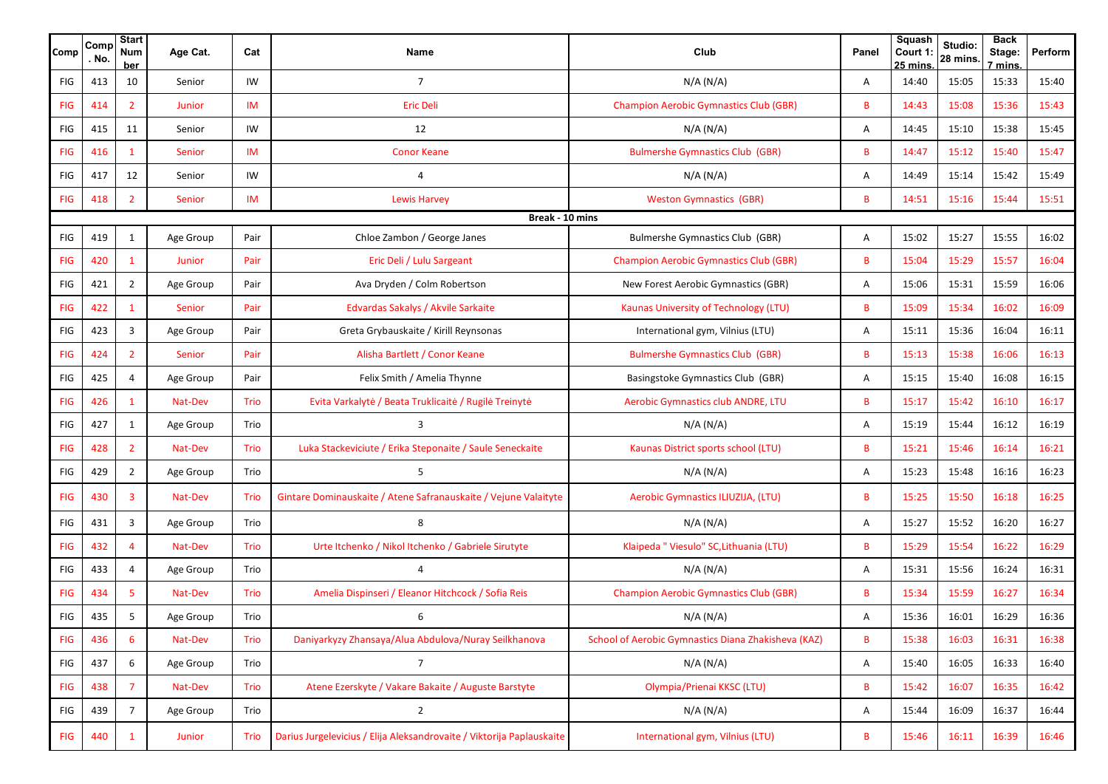| Comp            | Comp<br>No. | <b>Start</b><br><b>Num</b><br><b>ber</b> | Age Cat.  | Cat  | Name                                                                  | Club                                                | Panel | <b>Squash</b><br>Court 1:<br>25 mins | Studio:<br>28 mins. | <b>Back</b><br>Stage:<br>7 mins | Perform |  |  |
|-----------------|-------------|------------------------------------------|-----------|------|-----------------------------------------------------------------------|-----------------------------------------------------|-------|--------------------------------------|---------------------|---------------------------------|---------|--|--|
| FIG             | 413         | 10                                       | Senior    | IW   | $\overline{7}$                                                        | N/A (N/A)                                           | Α     | 14:40                                | 15:05               | 15:33                           | 15:40   |  |  |
| <b>FIG</b>      | 414         | $\overline{2}$                           | Junior    | IM   | <b>Eric Deli</b>                                                      | <b>Champion Aerobic Gymnastics Club (GBR)</b>       | B     | 14:43                                | 15:08               | 15:36                           | 15:43   |  |  |
| FIG             | 415         | 11                                       | Senior    | IW   | 12                                                                    | N/A (N/A)                                           | Α     | 14:45                                | 15:10               | 15:38                           | 15:45   |  |  |
| <b>FIG</b>      | 416         | $\mathbf{1}$                             | Senior    | IM   | <b>Conor Keane</b>                                                    | <b>Bulmershe Gymnastics Club (GBR)</b>              | B     | 14:47                                | 15:12               | 15:40                           | 15:47   |  |  |
| FIG             | 417         | 12                                       | Senior    | IW   | $\overline{4}$                                                        | N/A (N/A)                                           | A     | 14:49                                | 15:14               | 15:42                           | 15:49   |  |  |
| <b>FIG</b>      | 418         | $\overline{2}$                           | Senior    | IM   | <b>Lewis Harvey</b>                                                   | <b>Weston Gymnastics (GBR)</b>                      | B     | 14:51                                | 15:16               | 15:44                           | 15:51   |  |  |
| Break - 10 mins |             |                                          |           |      |                                                                       |                                                     |       |                                      |                     |                                 |         |  |  |
| FIG             | 419         | $\mathbf{1}$                             | Age Group | Pair | Chloe Zambon / George Janes                                           | Bulmershe Gymnastics Club (GBR)                     | Α     | 15:02                                | 15:27               | 15:55                           | 16:02   |  |  |
| <b>FIG</b>      | 420         | $\mathbf{1}$                             | Junior    | Pair | Eric Deli / Lulu Sargeant                                             | <b>Champion Aerobic Gymnastics Club (GBR)</b>       | B     | 15:04                                | 15:29               | 15:57                           | 16:04   |  |  |
| FIG             | 421         | $\overline{2}$                           | Age Group | Pair | Ava Dryden / Colm Robertson                                           | New Forest Aerobic Gymnastics (GBR)                 | Α     | 15:06                                | 15:31               | 15:59                           | 16:06   |  |  |
| <b>FIG</b>      | 422         | $\mathbf{1}$                             | Senior    | Pair | Edvardas Sakalys / Akvile Sarkaite                                    | Kaunas University of Technology (LTU)               | B     | 15:09                                | 15:34               | 16:02                           | 16:09   |  |  |
| <b>FIG</b>      | 423         | 3                                        | Age Group | Pair | Greta Grybauskaite / Kirill Reynsonas                                 | International gym, Vilnius (LTU)                    | Α     | 15:11                                | 15:36               | 16:04                           | 16:11   |  |  |
| <b>FIG</b>      | 424         | $\overline{2}$                           | Senior    | Pair | Alisha Bartlett / Conor Keane                                         | <b>Bulmershe Gymnastics Club (GBR)</b>              | B     | 15:13                                | 15:38               | 16:06                           | 16:13   |  |  |
| <b>FIG</b>      | 425         | $\overline{4}$                           | Age Group | Pair | Felix Smith / Amelia Thynne                                           | Basingstoke Gymnastics Club (GBR)                   | Α     | 15:15                                | 15:40               | 16:08                           | 16:15   |  |  |
| <b>FIG</b>      | 426         | $\mathbf{1}$                             | Nat-Dev   | Trio | Evita Varkalytė / Beata Truklicaitė / Rugilė Treinytė                 | Aerobic Gymnastics club ANDRE, LTU                  | B     | 15:17                                | 15:42               | 16:10                           | 16:17   |  |  |
| <b>FIG</b>      | 427         | $\mathbf{1}$                             | Age Group | Trio | 3                                                                     | N/A (N/A)                                           | Α     | 15:19                                | 15:44               | 16:12                           | 16:19   |  |  |
| <b>FIG</b>      | 428         | $\overline{2}$                           | Nat-Dev   | Trio | Luka Stackeviciute / Erika Steponaite / Saule Seneckaite              | Kaunas District sports school (LTU)                 | B     | 15:21                                | 15:46               | 16:14                           | 16:21   |  |  |
| <b>FIG</b>      | 429         | $\overline{2}$                           | Age Group | Trio | 5                                                                     | N/A (N/A)                                           | Α     | 15:23                                | 15:48               | 16:16                           | 16:23   |  |  |
| <b>FIG</b>      | 430         | $\overline{3}$                           | Nat-Dev   | Trio | Gintare Dominauskaite / Atene Safranauskaite / Vejune Valaityte       | Aerobic Gymnastics ILIUZIJA, (LTU)                  | B     | 15:25                                | 15:50               | 16:18                           | 16:25   |  |  |
| FIG             | 431         | 3                                        | Age Group | Trio | 8                                                                     | N/A (N/A)                                           | Α     | 15:27                                | 15:52               | 16:20                           | 16:27   |  |  |
| <b>FIG</b>      | 432         | $\overline{4}$                           | Nat-Dev   | Trio | Urte Itchenko / Nikol Itchenko / Gabriele Sirutyte                    | Klaipeda " Viesulo" SC, Lithuania (LTU)             | B     | 15:29                                | 15:54               | 16:22                           | 16:29   |  |  |
| FIG             | 433         | 4                                        | Age Group | Trio | $\overline{4}$                                                        | N/A (N/A)                                           | Α     | 15:31                                | 15:56               | 16:24                           | 16:31   |  |  |
| <b>FIG</b>      | 434         | 5                                        | Nat-Dev   | Trio | Amelia Dispinseri / Eleanor Hitchcock / Sofia Reis                    | <b>Champion Aerobic Gymnastics Club (GBR)</b>       | B     | 15:34                                | 15:59               | 16:27                           | 16:34   |  |  |
| FIG             | 435         | 5                                        | Age Group | Trio | 6                                                                     | N/A (N/A)                                           | A     | 15:36                                | 16:01               | 16:29                           | 16:36   |  |  |
| <b>FIG</b>      | 436         | $6\overline{6}$                          | Nat-Dev   | Trio | Daniyarkyzy Zhansaya/Alua Abdulova/Nuray Seilkhanova                  | School of Aerobic Gymnastics Diana Zhakisheva (KAZ) | B     | 15:38                                | 16:03               | 16:31                           | 16:38   |  |  |
| <b>FIG</b>      | 437         | 6                                        | Age Group | Trio | $\overline{7}$                                                        | N/A (N/A)                                           | Α     | 15:40                                | 16:05               | 16:33                           | 16:40   |  |  |
| <b>FIG</b>      | 438         | $\overline{7}$                           | Nat-Dev   | Trio | Atene Ezerskyte / Vakare Bakaite / Auguste Barstyte                   | Olympia/Prienai KKSC (LTU)                          | B     | 15:42                                | 16:07               | 16:35                           | 16:42   |  |  |
| FIG             | 439         | $\overline{7}$                           | Age Group | Trio | $\overline{2}$                                                        | N/A (N/A)                                           | Α     | 15:44                                | 16:09               | 16:37                           | 16:44   |  |  |
| <b>FIG</b>      | 440         | $\mathbf{1}$                             | Junior    | Trio | Darius Jurgelevicius / Elija Aleksandrovaite / Viktorija Paplauskaite | International gym, Vilnius (LTU)                    | B     | 15:46                                | 16:11               | 16:39                           | 16:46   |  |  |